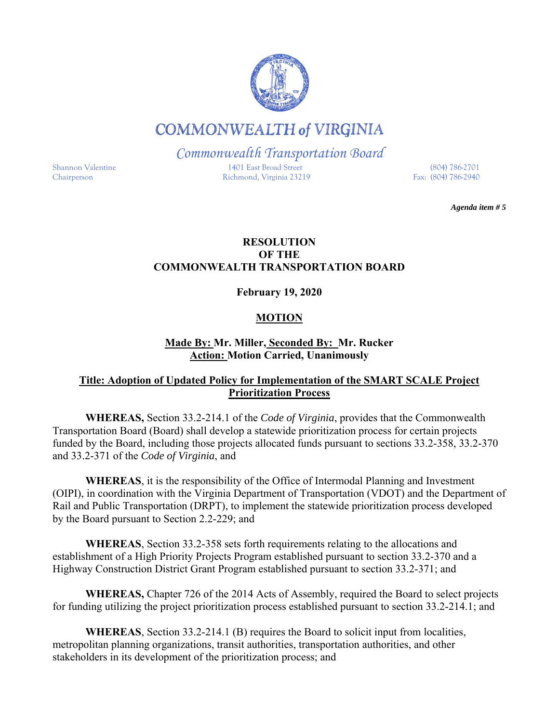# **COMMONWEALTH of VIRGINIA**

*Commonwealth Transportation Board* 

Shannon Valentine 1401 East Broad Street (804) 786-2701 Chairperson Richmond, Virginia 23219

*Agenda item # 5*

# **RESOLUTION OF THE COMMONWEALTH TRANSPORTATION BOARD**

**February 19, 2020** 

# **MOTION**

# **Made By: Mr. Miller, Seconded By: Mr. Rucker Action: Motion Carried, Unanimously**

# **Title: Adoption of Updated Policy for Implementation of the SMART SCALE Project Prioritization Process**

**WHEREAS,** Section 33.2-214.1 of the *Code of Virginia*, provides that the Commonwealth Transportation Board (Board) shall develop a statewide prioritization process for certain projects funded by the Board, including those projects allocated funds pursuant to sections 33.2-358, 33.2-370 and 33.2-371 of the *Code of Virginia*, and

**WHEREAS**, it is the responsibility of the Office of Intermodal Planning and Investment (OIPI), in coordination with the Virginia Department of Transportation (VDOT) and the Department of Rail and Public Transportation (DRPT), to implement the statewide prioritization process developed by the Board pursuant to Section 2.2-229; and

**WHEREAS**, Section 33.2-358 sets forth requirements relating to the allocations and establishment of a High Priority Projects Program established pursuant to section 33.2-370 and a Highway Construction District Grant Program established pursuant to section 33.2-371; and

**WHEREAS,** Chapter 726 of the 2014 Acts of Assembly, required the Board to select projects for funding utilizing the project prioritization process established pursuant to section 33.2-214.1; and

**WHEREAS**, Section 33.2-214.1 (B) requires the Board to solicit input from localities, metropolitan planning organizations, transit authorities, transportation authorities, and other stakeholders in its development of the prioritization process; and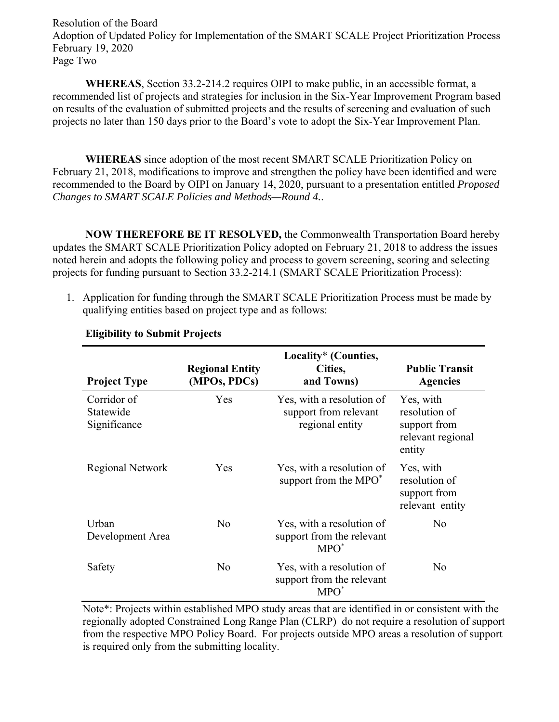Resolution of the Board Adoption of Updated Policy for Implementation of the SMART SCALE Project Prioritization Process February 19, 2020 Page Two

**WHEREAS**, Section 33.2-214.2 requires OIPI to make public, in an accessible format, a recommended list of projects and strategies for inclusion in the Six-Year Improvement Program based on results of the evaluation of submitted projects and the results of screening and evaluation of such projects no later than 150 days prior to the Board's vote to adopt the Six-Year Improvement Plan.

**WHEREAS** since adoption of the most recent SMART SCALE Prioritization Policy on February 21, 2018, modifications to improve and strengthen the policy have been identified and were recommended to the Board by OIPI on January 14, 2020, pursuant to a presentation entitled *Proposed Changes to SMART SCALE Policies and Methods—Round 4.*.

**NOW THEREFORE BE IT RESOLVED,** the Commonwealth Transportation Board hereby updates the SMART SCALE Prioritization Policy adopted on February 21, 2018 to address the issues noted herein and adopts the following policy and process to govern screening, scoring and selecting projects for funding pursuant to Section 33.2-214.1 (SMART SCALE Prioritization Process):

1. Application for funding through the SMART SCALE Prioritization Process must be made by qualifying entities based on project type and as follows:

| <b>Project Type</b>                      | <b>Regional Entity</b><br>(MPOs, PDCs) | Locality* (Counties,<br>Cities,<br>and Towns)                         | <b>Public Transit</b><br><b>Agencies</b>                                  |
|------------------------------------------|----------------------------------------|-----------------------------------------------------------------------|---------------------------------------------------------------------------|
| Corridor of<br>Statewide<br>Significance | Yes                                    | Yes, with a resolution of<br>support from relevant<br>regional entity | Yes, with<br>resolution of<br>support from<br>relevant regional<br>entity |
| Regional Network                         | Yes.                                   | Yes, with a resolution of<br>support from the MPO <sup>*</sup>        | Yes, with<br>resolution of<br>support from<br>relevant entity             |
| Urban<br>Development Area                | N <sub>o</sub>                         | Yes, with a resolution of<br>support from the relevant<br>$MPO^*$     | N <sub>o</sub>                                                            |
| Safety                                   | No                                     | Yes, with a resolution of<br>support from the relevant<br>$MPO^*$     | No.                                                                       |

# **Eligibility to Submit Projects**

Note\*: Projects within established MPO study areas that are identified in or consistent with the regionally adopted Constrained Long Range Plan (CLRP) do not require a resolution of support from the respective MPO Policy Board. For projects outside MPO areas a resolution of support is required only from the submitting locality.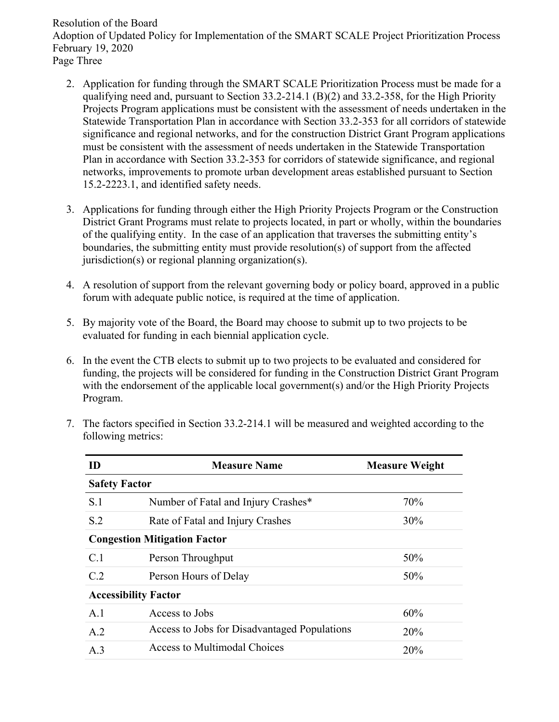Resolution of the Board Adoption of Updated Policy for Implementation of the SMART SCALE Project Prioritization Process February 19, 2020 Page Three

- 2. Application for funding through the SMART SCALE Prioritization Process must be made for a qualifying need and, pursuant to Section 33.2-214.1 (B)(2) and 33.2-358, for the High Priority Projects Program applications must be consistent with the assessment of needs undertaken in the Statewide Transportation Plan in accordance with Section 33.2-353 for all corridors of statewide significance and regional networks, and for the construction District Grant Program applications must be consistent with the assessment of needs undertaken in the Statewide Transportation Plan in accordance with Section 33.2-353 for corridors of statewide significance, and regional networks, improvements to promote urban development areas established pursuant to Section 15.2-2223.1, and identified safety needs.
- 3. Applications for funding through either the High Priority Projects Program or the Construction District Grant Programs must relate to projects located, in part or wholly, within the boundaries of the qualifying entity. In the case of an application that traverses the submitting entity's boundaries, the submitting entity must provide resolution(s) of support from the affected jurisdiction(s) or regional planning organization(s).
- 4. A resolution of support from the relevant governing body or policy board, approved in a public forum with adequate public notice, is required at the time of application.
- 5. By majority vote of the Board, the Board may choose to submit up to two projects to be evaluated for funding in each biennial application cycle.
- 6. In the event the CTB elects to submit up to two projects to be evaluated and considered for funding, the projects will be considered for funding in the Construction District Grant Program with the endorsement of the applicable local government(s) and/or the High Priority Projects Program.
- 7. The factors specified in Section 33.2-214.1 will be measured and weighted according to the following metrics:

| ID                                  | <b>Measure Name</b>                          | <b>Measure Weight</b> |  |  |  |
|-------------------------------------|----------------------------------------------|-----------------------|--|--|--|
|                                     | <b>Safety Factor</b>                         |                       |  |  |  |
| S.1                                 | Number of Fatal and Injury Crashes*          | 70%                   |  |  |  |
| S.2                                 | Rate of Fatal and Injury Crashes             | 30%                   |  |  |  |
| <b>Congestion Mitigation Factor</b> |                                              |                       |  |  |  |
| C.1                                 | Person Throughput                            | 50%                   |  |  |  |
| C.2                                 | Person Hours of Delay                        | 50%                   |  |  |  |
| <b>Accessibility Factor</b>         |                                              |                       |  |  |  |
| A.1                                 | Access to Jobs                               | 60%                   |  |  |  |
| A.2                                 | Access to Jobs for Disadvantaged Populations | 20%                   |  |  |  |
| A.3                                 | Access to Multimodal Choices                 | 20%                   |  |  |  |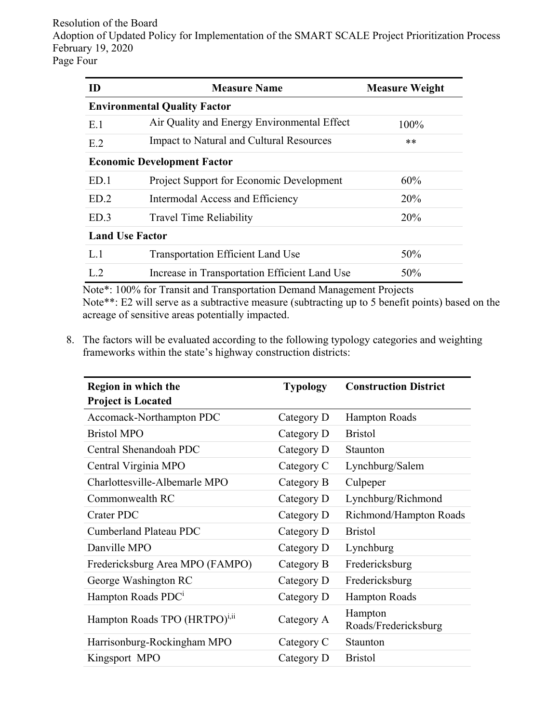Resolution of the Board Adoption of Updated Policy for Implementation of the SMART SCALE Project Prioritization Process February 19, 2020 Page Four

| ID                                 | <b>Measure Name</b>                             | <b>Measure Weight</b> |  |  |  |
|------------------------------------|-------------------------------------------------|-----------------------|--|--|--|
|                                    | <b>Environmental Quality Factor</b>             |                       |  |  |  |
| E.1                                | Air Quality and Energy Environmental Effect     | 100%                  |  |  |  |
| E.2                                | Impact to Natural and Cultural Resources        | $**$                  |  |  |  |
| <b>Economic Development Factor</b> |                                                 |                       |  |  |  |
| ED.1                               | <b>Project Support for Economic Development</b> | 60%                   |  |  |  |
| ED <sub>2</sub>                    | Intermodal Access and Efficiency                | 20%                   |  |  |  |
| ED.3                               | <b>Travel Time Reliability</b>                  | 20%                   |  |  |  |
| <b>Land Use Factor</b>             |                                                 |                       |  |  |  |
| L.1                                | <b>Transportation Efficient Land Use</b>        | 50%                   |  |  |  |
| $L_{2}$                            | Increase in Transportation Efficient Land Use   | 50%                   |  |  |  |

Note\*: 100% for Transit and Transportation Demand Management Projects Note\*\*: E2 will serve as a subtractive measure (subtracting up to 5 benefit points) based on the acreage of sensitive areas potentially impacted.

8. The factors will be evaluated according to the following typology categories and weighting frameworks within the state's highway construction districts:

| Region in which the                       | <b>Typology</b> | <b>Construction District</b>    |
|-------------------------------------------|-----------------|---------------------------------|
| <b>Project is Located</b>                 |                 |                                 |
| Accomack-Northampton PDC                  | Category D      | <b>Hampton Roads</b>            |
| <b>Bristol MPO</b>                        | Category D      | <b>Bristol</b>                  |
| Central Shenandoah PDC                    | Category D      | Staunton                        |
| Central Virginia MPO                      | Category C      | Lynchburg/Salem                 |
| Charlottesville-Albemarle MPO             | Category B      | Culpeper                        |
| Commonwealth RC                           | Category D      | Lynchburg/Richmond              |
| <b>Crater PDC</b>                         | Category D      | Richmond/Hampton Roads          |
| Cumberland Plateau PDC                    | Category D      | <b>Bristol</b>                  |
| Danville MPO                              | Category D      | Lynchburg                       |
| Fredericksburg Area MPO (FAMPO)           | Category B      | Fredericksburg                  |
| George Washington RC                      | Category D      | Fredericksburg                  |
| Hampton Roads PDC <sup>i</sup>            | Category D      | <b>Hampton Roads</b>            |
| Hampton Roads TPO (HRTPO) <sup>i,ii</sup> | Category A      | Hampton<br>Roads/Fredericksburg |
| Harrisonburg-Rockingham MPO               | Category C      | Staunton                        |
| Kingsport MPO                             | Category D      | <b>Bristol</b>                  |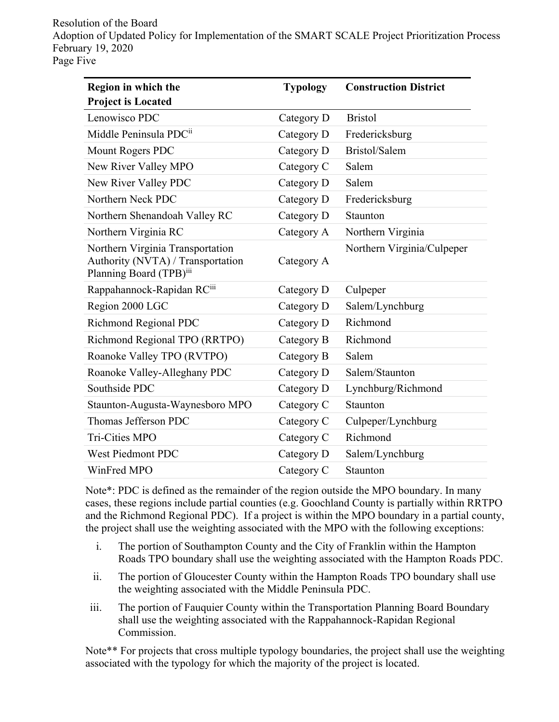Resolution of the Board Adoption of Updated Policy for Implementation of the SMART SCALE Project Prioritization Process February 19, 2020 Page Five

| Region in which the                                                                              | <b>Typology</b> | <b>Construction District</b> |  |
|--------------------------------------------------------------------------------------------------|-----------------|------------------------------|--|
| <b>Project is Located</b>                                                                        |                 |                              |  |
| Lenowisco PDC                                                                                    | Category D      | <b>Bristol</b>               |  |
| Middle Peninsula PDCii                                                                           | Category D      | Fredericksburg               |  |
| Mount Rogers PDC                                                                                 | Category D      | Bristol/Salem                |  |
| New River Valley MPO                                                                             | Category C      | Salem                        |  |
| New River Valley PDC                                                                             | Category D      | Salem                        |  |
| Northern Neck PDC                                                                                | Category D      | Fredericksburg               |  |
| Northern Shenandoah Valley RC                                                                    | Category D      | Staunton                     |  |
| Northern Virginia RC                                                                             | Category A      | Northern Virginia            |  |
| Northern Virginia Transportation<br>Authority (NVTA) / Transportation<br>Planning Board (TPB)iii | Category A      | Northern Virginia/Culpeper   |  |
| Rappahannock-Rapidan RCiii                                                                       | Category D      | Culpeper                     |  |
| Region 2000 LGC                                                                                  | Category D      | Salem/Lynchburg              |  |
| <b>Richmond Regional PDC</b>                                                                     | Category D      | Richmond                     |  |
| Richmond Regional TPO (RRTPO)                                                                    | Category B      | Richmond                     |  |
| Roanoke Valley TPO (RVTPO)                                                                       | Category B      | Salem                        |  |
| Roanoke Valley-Alleghany PDC                                                                     | Category D      | Salem/Staunton               |  |
| Southside PDC                                                                                    | Category D      | Lynchburg/Richmond           |  |
| Staunton-Augusta-Waynesboro MPO                                                                  | Category C      | Staunton                     |  |
| Thomas Jefferson PDC                                                                             | Category C      | Culpeper/Lynchburg           |  |
| <b>Tri-Cities MPO</b>                                                                            | Category C      | Richmond                     |  |
| <b>West Piedmont PDC</b>                                                                         | Category D      | Salem/Lynchburg              |  |
| WinFred MPO                                                                                      | Category C      | Staunton                     |  |

Note\*: PDC is defined as the remainder of the region outside the MPO boundary. In many cases, these regions include partial counties (e.g. Goochland County is partially within RRTPO and the Richmond Regional PDC). If a project is within the MPO boundary in a partial county, the project shall use the weighting associated with the MPO with the following exceptions:

- i. The portion of Southampton County and the City of Franklin within the Hampton Roads TPO boundary shall use the weighting associated with the Hampton Roads PDC.
- ii. The portion of Gloucester County within the Hampton Roads TPO boundary shall use the weighting associated with the Middle Peninsula PDC.
- iii. The portion of Fauquier County within the Transportation Planning Board Boundary shall use the weighting associated with the Rappahannock-Rapidan Regional Commission.

Note\*\* For projects that cross multiple typology boundaries, the project shall use the weighting associated with the typology for which the majority of the project is located.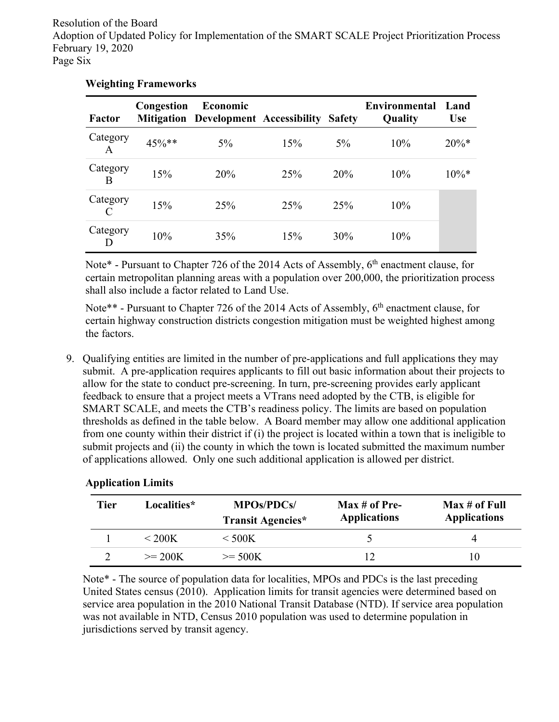Resolution of the Board Adoption of Updated Policy for Implementation of the SMART SCALE Project Prioritization Process February 19, 2020 Page Six

| <b>Factor</b>             | Congestion | Economic<br><b>Mitigation Development Accessibility</b> |     | <b>Safety</b> | Environmental<br>Quality | Land<br><b>Use</b> |
|---------------------------|------------|---------------------------------------------------------|-----|---------------|--------------------------|--------------------|
| Category<br>A             | $45\%**$   | $5\%$                                                   | 15% | $5\%$         | 10%                      | $20\%*$            |
| Category<br>B             | 15%        | 20%                                                     | 25% | 20%           | 10%                      | $10\%*$            |
| Category<br>$\mathcal{C}$ | 15%        | 25%                                                     | 25% | 25%           | 10%                      |                    |
| Category<br>D             | 10%        | 35%                                                     | 15% | 30%           | 10%                      |                    |

# **Weighting Frameworks**

Note\* - Pursuant to Chapter 726 of the 2014 Acts of Assembly,  $6<sup>th</sup>$  enactment clause, for certain metropolitan planning areas with a population over 200,000, the prioritization process shall also include a factor related to Land Use.

Note\*\* - Pursuant to Chapter 726 of the 2014 Acts of Assembly, 6<sup>th</sup> enactment clause, for certain highway construction districts congestion mitigation must be weighted highest among the factors.

9. Qualifying entities are limited in the number of pre-applications and full applications they may submit. A pre-application requires applicants to fill out basic information about their projects to allow for the state to conduct pre-screening. In turn, pre-screening provides early applicant feedback to ensure that a project meets a VTrans need adopted by the CTB, is eligible for SMART SCALE, and meets the CTB's readiness policy. The limits are based on population thresholds as defined in the table below. A Board member may allow one additional application from one county within their district if (i) the project is located within a town that is ineligible to submit projects and (ii) the county in which the town is located submitted the maximum number of applications allowed. Only one such additional application is allowed per district.

| <b>Tier</b> | Localities*  | <b>MPOs/PDCs/</b><br><b>Transit Agencies*</b> | $Max # of Pre-$<br><b>Applications</b> | Max # of Full<br><b>Applications</b> |
|-------------|--------------|-----------------------------------------------|----------------------------------------|--------------------------------------|
|             | $\rm < 200K$ | $\rm < 500K$                                  |                                        |                                      |
|             | $>= 200K$    | $>= 500K$                                     |                                        | 10                                   |

## **Application Limits**

Note\* - The source of population data for localities, MPOs and PDCs is the last preceding United States census (2010). Application limits for transit agencies were determined based on service area population in the 2010 National Transit Database (NTD). If service area population was not available in NTD, Census 2010 population was used to determine population in jurisdictions served by transit agency.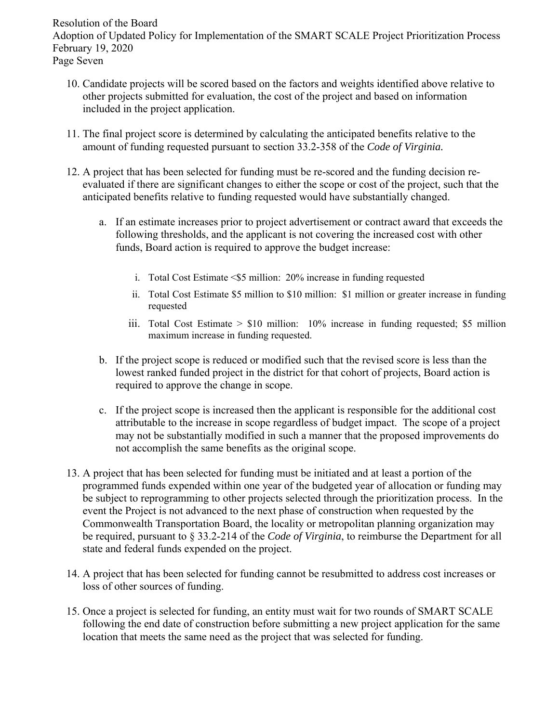Resolution of the Board Adoption of Updated Policy for Implementation of the SMART SCALE Project Prioritization Process February 19, 2020 Page Seven

- 10. Candidate projects will be scored based on the factors and weights identified above relative to other projects submitted for evaluation, the cost of the project and based on information included in the project application.
- 11. The final project score is determined by calculating the anticipated benefits relative to the amount of funding requested pursuant to section 33.2-358 of the *Code of Virginia.*
- 12. A project that has been selected for funding must be re-scored and the funding decision reevaluated if there are significant changes to either the scope or cost of the project, such that the anticipated benefits relative to funding requested would have substantially changed.
	- a. If an estimate increases prior to project advertisement or contract award that exceeds the following thresholds, and the applicant is not covering the increased cost with other funds, Board action is required to approve the budget increase:
		- i. Total Cost Estimate <\$5 million: 20% increase in funding requested
		- ii. Total Cost Estimate \$5 million to \$10 million: \$1 million or greater increase in funding requested
		- iii. Total Cost Estimate > \$10 million: 10% increase in funding requested; \$5 million maximum increase in funding requested.
	- b. If the project scope is reduced or modified such that the revised score is less than the lowest ranked funded project in the district for that cohort of projects, Board action is required to approve the change in scope.
	- c. If the project scope is increased then the applicant is responsible for the additional cost attributable to the increase in scope regardless of budget impact. The scope of a project may not be substantially modified in such a manner that the proposed improvements do not accomplish the same benefits as the original scope.
- 13. A project that has been selected for funding must be initiated and at least a portion of the programmed funds expended within one year of the budgeted year of allocation or funding may be subject to reprogramming to other projects selected through the prioritization process. In the event the Project is not advanced to the next phase of construction when requested by the Commonwealth Transportation Board, the locality or metropolitan planning organization may be required, pursuant to § 33.2-214 of the *Code of Virginia*, to reimburse the Department for all state and federal funds expended on the project.
- 14. A project that has been selected for funding cannot be resubmitted to address cost increases or loss of other sources of funding.
- 15. Once a project is selected for funding, an entity must wait for two rounds of SMART SCALE following the end date of construction before submitting a new project application for the same location that meets the same need as the project that was selected for funding.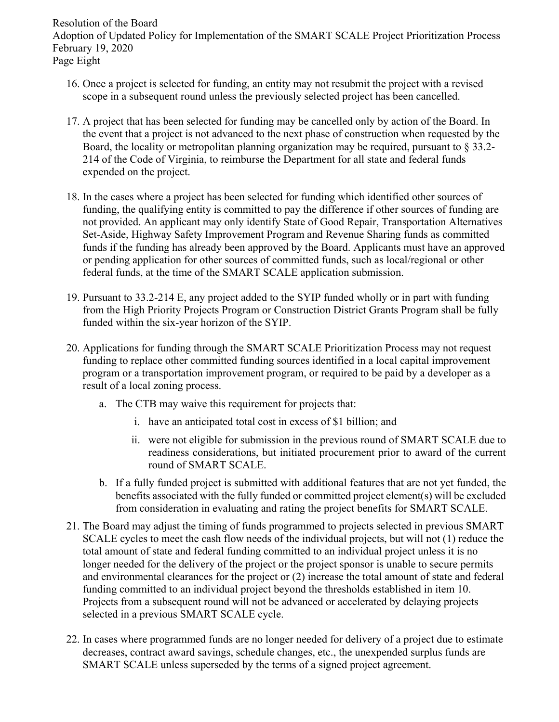Resolution of the Board Adoption of Updated Policy for Implementation of the SMART SCALE Project Prioritization Process February 19, 2020 Page Eight

- 16. Once a project is selected for funding, an entity may not resubmit the project with a revised scope in a subsequent round unless the previously selected project has been cancelled.
- 17. A project that has been selected for funding may be cancelled only by action of the Board. In the event that a project is not advanced to the next phase of construction when requested by the Board, the locality or metropolitan planning organization may be required, pursuant to § 33.2- 214 of the Code of Virginia, to reimburse the Department for all state and federal funds expended on the project.
- 18. In the cases where a project has been selected for funding which identified other sources of funding, the qualifying entity is committed to pay the difference if other sources of funding are not provided. An applicant may only identify State of Good Repair, Transportation Alternatives Set-Aside, Highway Safety Improvement Program and Revenue Sharing funds as committed funds if the funding has already been approved by the Board. Applicants must have an approved or pending application for other sources of committed funds, such as local/regional or other federal funds, at the time of the SMART SCALE application submission.
- 19. Pursuant to 33.2-214 E, any project added to the SYIP funded wholly or in part with funding from the High Priority Projects Program or Construction District Grants Program shall be fully funded within the six-year horizon of the SYIP.
- 20. Applications for funding through the SMART SCALE Prioritization Process may not request funding to replace other committed funding sources identified in a local capital improvement program or a transportation improvement program, or required to be paid by a developer as a result of a local zoning process.
	- a. The CTB may waive this requirement for projects that:
		- i. have an anticipated total cost in excess of \$1 billion; and
		- ii. were not eligible for submission in the previous round of SMART SCALE due to readiness considerations, but initiated procurement prior to award of the current round of SMART SCALE.
	- b. If a fully funded project is submitted with additional features that are not yet funded, the benefits associated with the fully funded or committed project element(s) will be excluded from consideration in evaluating and rating the project benefits for SMART SCALE.
- 21. The Board may adjust the timing of funds programmed to projects selected in previous SMART SCALE cycles to meet the cash flow needs of the individual projects, but will not (1) reduce the total amount of state and federal funding committed to an individual project unless it is no longer needed for the delivery of the project or the project sponsor is unable to secure permits and environmental clearances for the project or (2) increase the total amount of state and federal funding committed to an individual project beyond the thresholds established in item 10. Projects from a subsequent round will not be advanced or accelerated by delaying projects selected in a previous SMART SCALE cycle.
- 22. In cases where programmed funds are no longer needed for delivery of a project due to estimate decreases, contract award savings, schedule changes, etc., the unexpended surplus funds are SMART SCALE unless superseded by the terms of a signed project agreement.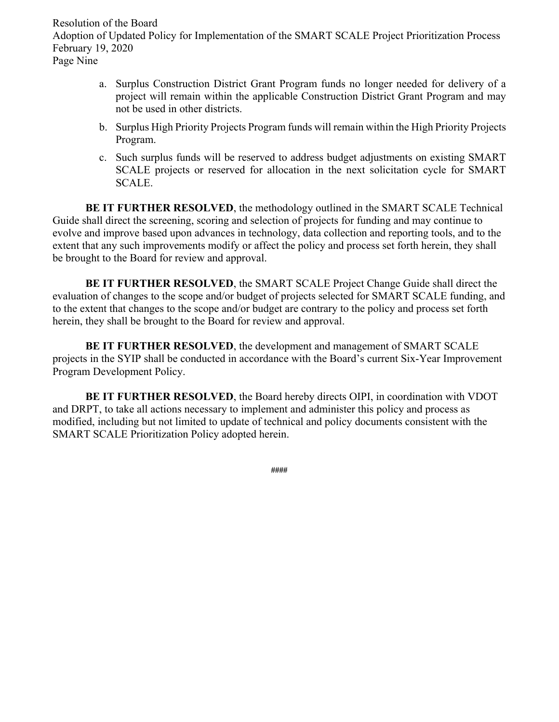Resolution of the Board Adoption of Updated Policy for Implementation of the SMART SCALE Project Prioritization Process February 19, 2020 Page Nine

- a. Surplus Construction District Grant Program funds no longer needed for delivery of a project will remain within the applicable Construction District Grant Program and may not be used in other districts.
- b. Surplus High Priority Projects Program funds will remain within the High Priority Projects Program.
- c. Such surplus funds will be reserved to address budget adjustments on existing SMART SCALE projects or reserved for allocation in the next solicitation cycle for SMART SCALE.

**BE IT FURTHER RESOLVED**, the methodology outlined in the SMART SCALE Technical Guide shall direct the screening, scoring and selection of projects for funding and may continue to evolve and improve based upon advances in technology, data collection and reporting tools, and to the extent that any such improvements modify or affect the policy and process set forth herein, they shall be brought to the Board for review and approval.

**BE IT FURTHER RESOLVED**, the SMART SCALE Project Change Guide shall direct the evaluation of changes to the scope and/or budget of projects selected for SMART SCALE funding, and to the extent that changes to the scope and/or budget are contrary to the policy and process set forth herein, they shall be brought to the Board for review and approval.

**BE IT FURTHER RESOLVED**, the development and management of SMART SCALE projects in the SYIP shall be conducted in accordance with the Board's current Six-Year Improvement Program Development Policy.

**BE IT FURTHER RESOLVED**, the Board hereby directs OIPI, in coordination with VDOT and DRPT, to take all actions necessary to implement and administer this policy and process as modified, including but not limited to update of technical and policy documents consistent with the SMART SCALE Prioritization Policy adopted herein.

**####**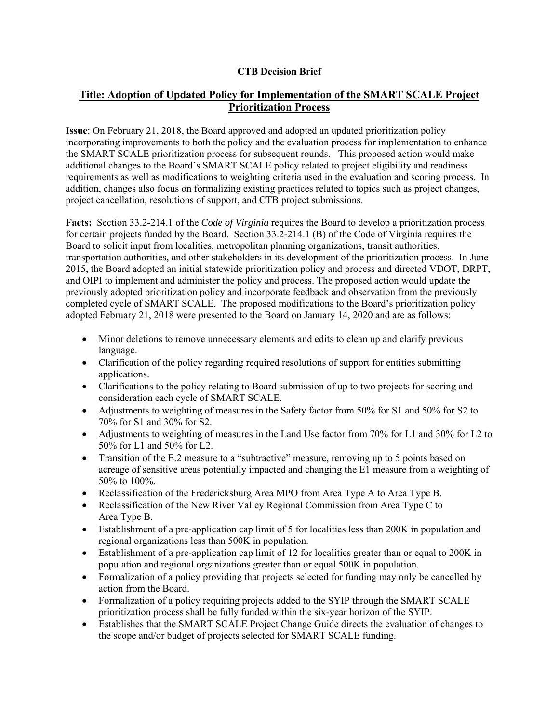### **CTB Decision Brief**

# **Title: Adoption of Updated Policy for Implementation of the SMART SCALE Project Prioritization Process**

**Issue**: On February 21, 2018, the Board approved and adopted an updated prioritization policy incorporating improvements to both the policy and the evaluation process for implementation to enhance the SMART SCALE prioritization process for subsequent rounds. This proposed action would make additional changes to the Board's SMART SCALE policy related to project eligibility and readiness requirements as well as modifications to weighting criteria used in the evaluation and scoring process. In addition, changes also focus on formalizing existing practices related to topics such as project changes, project cancellation, resolutions of support, and CTB project submissions.

**Facts:** Section 33.2-214.1 of the *Code of Virginia* requires the Board to develop a prioritization process for certain projects funded by the Board. Section 33.2-214.1 (B) of the Code of Virginia requires the Board to solicit input from localities, metropolitan planning organizations, transit authorities, transportation authorities, and other stakeholders in its development of the prioritization process. In June 2015, the Board adopted an initial statewide prioritization policy and process and directed VDOT, DRPT, and OIPI to implement and administer the policy and process. The proposed action would update the previously adopted prioritization policy and incorporate feedback and observation from the previously completed cycle of SMART SCALE. The proposed modifications to the Board's prioritization policy adopted February 21, 2018 were presented to the Board on January 14, 2020 and are as follows:

- Minor deletions to remove unnecessary elements and edits to clean up and clarify previous language.
- Clarification of the policy regarding required resolutions of support for entities submitting applications.
- Clarifications to the policy relating to Board submission of up to two projects for scoring and consideration each cycle of SMART SCALE.
- Adjustments to weighting of measures in the Safety factor from 50% for S1 and 50% for S2 to 70% for S1 and 30% for S2.
- Adjustments to weighting of measures in the Land Use factor from 70% for L1 and 30% for L2 to 50% for L1 and 50% for L2.
- Transition of the E.2 measure to a "subtractive" measure, removing up to 5 points based on acreage of sensitive areas potentially impacted and changing the E1 measure from a weighting of 50% to 100%.
- Reclassification of the Fredericksburg Area MPO from Area Type A to Area Type B.
- Reclassification of the New River Valley Regional Commission from Area Type C to Area Type B.
- Establishment of a pre-application cap limit of 5 for localities less than 200K in population and regional organizations less than 500K in population.
- Establishment of a pre-application cap limit of 12 for localities greater than or equal to 200K in population and regional organizations greater than or equal 500K in population.
- Formalization of a policy providing that projects selected for funding may only be cancelled by action from the Board.
- Formalization of a policy requiring projects added to the SYIP through the SMART SCALE prioritization process shall be fully funded within the six-year horizon of the SYIP.
- Establishes that the SMART SCALE Project Change Guide directs the evaluation of changes to the scope and/or budget of projects selected for SMART SCALE funding.